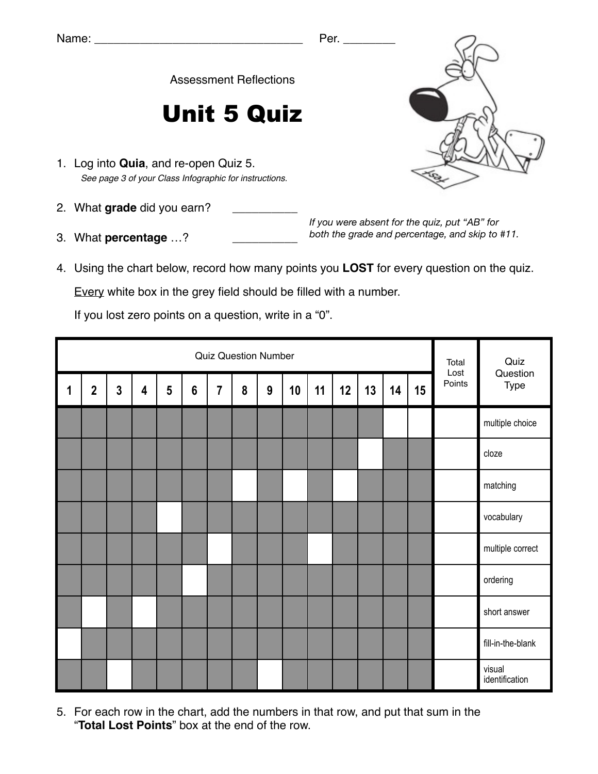Assessment Reflections

## Unit 5 Quiz

- 1. Log into **Quia**, and re-open Quiz 5. *See page 3 of your Class Infographic for instructions.*
- 2. What grade did you earn?
- 3. What **percentage** ...?

*If you were absent for the quiz, put "AB" for both the grade and percentage, and skip to #11.*

4. Using the chart below, record how many points you **LOST** for every question on the quiz.

Every white box in the grey field should be filled with a number.

If you lost zero points on a question, write in a "0".

|   | <b>Quiz Question Number</b> |                |                         |   |                 |                |   |   |    |    |    |    |    |    | Total<br>Lost | Quiz                     |
|---|-----------------------------|----------------|-------------------------|---|-----------------|----------------|---|---|----|----|----|----|----|----|---------------|--------------------------|
| 1 | $\overline{\mathbf{2}}$     | $\overline{3}$ | $\overline{\mathbf{4}}$ | 5 | $6\phantom{1}6$ | $\overline{7}$ | 8 | 9 | 10 | 11 | 12 | 13 | 14 | 15 | Points        | Question<br>Type         |
|   |                             |                |                         |   |                 |                |   |   |    |    |    |    |    |    |               | multiple choice          |
|   |                             |                |                         |   |                 |                |   |   |    |    |    |    |    |    |               | cloze                    |
|   |                             |                |                         |   |                 |                |   |   |    |    |    |    |    |    |               | matching                 |
|   |                             |                |                         |   |                 |                |   |   |    |    |    |    |    |    |               | vocabulary               |
|   |                             |                |                         |   |                 |                |   |   |    |    |    |    |    |    |               | multiple correct         |
|   |                             |                |                         |   |                 |                |   |   |    |    |    |    |    |    |               | ordering                 |
|   |                             |                |                         |   |                 |                |   |   |    |    |    |    |    |    |               | short answer             |
|   |                             |                |                         |   |                 |                |   |   |    |    |    |    |    |    |               | fill-in-the-blank        |
|   |                             |                |                         |   |                 |                |   |   |    |    |    |    |    |    |               | visual<br>identification |

5. For each row in the chart, add the numbers in that row, and put that sum in the "**Total Lost Points**" box at the end of the row.